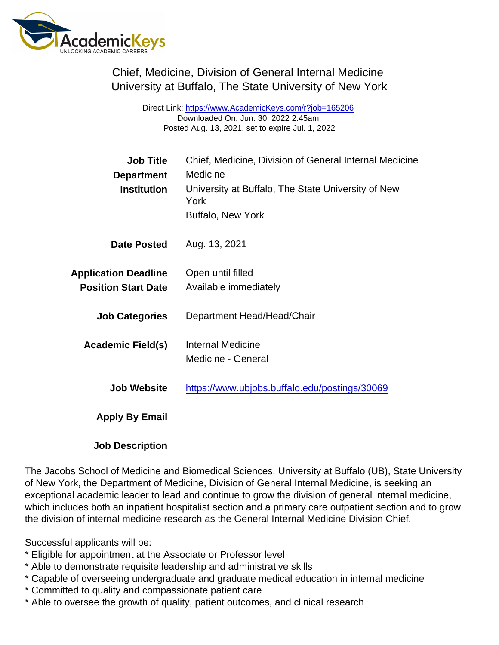Chief, Medicine, Division of General Internal Medicine University at Buffalo, The State University of New York

> Direct Link: <https://www.AcademicKeys.com/r?job=165206> Downloaded On: Jun. 30, 2022 2:45am Posted Aug. 13, 2021, set to expire Jul. 1, 2022

| <b>Job Title</b>            | Chief, Medicine, Division of General Internal Medicine     |
|-----------------------------|------------------------------------------------------------|
| Department                  | Medicine                                                   |
| Institution                 | University at Buffalo, The State University of New<br>York |
|                             | Buffalo, New York                                          |
| Date Posted                 | Aug. 13, 2021                                              |
| <b>Application Deadline</b> | Open until filled                                          |
| <b>Position Start Date</b>  | Available immediately                                      |
| <b>Job Categories</b>       | Department Head/Head/Chair                                 |
| Academic Field(s)           | <b>Internal Medicine</b>                                   |
|                             | Medicine - General                                         |
| Job Website                 | https://www.ubjobs.buffalo.edu/postings/30069              |
| Apply By Email              |                                                            |
|                             |                                                            |

## Job Description

The Jacobs School of Medicine and Biomedical Sciences, University at Buffalo (UB), State University of New York, the Department of Medicine, Division of General Internal Medicine, is seeking an exceptional academic leader to lead and continue to grow the division of general internal medicine, which includes both an inpatient hospitalist section and a primary care outpatient section and to grow the division of internal medicine research as the General Internal Medicine Division Chief.

Successful applicants will be:

- \* Eligible for appointment at the Associate or Professor level
- \* Able to demonstrate requisite leadership and administrative skills
- \* Capable of overseeing undergraduate and graduate medical education in internal medicine
- \* Committed to quality and compassionate patient care
- \* Able to oversee the growth of quality, patient outcomes, and clinical research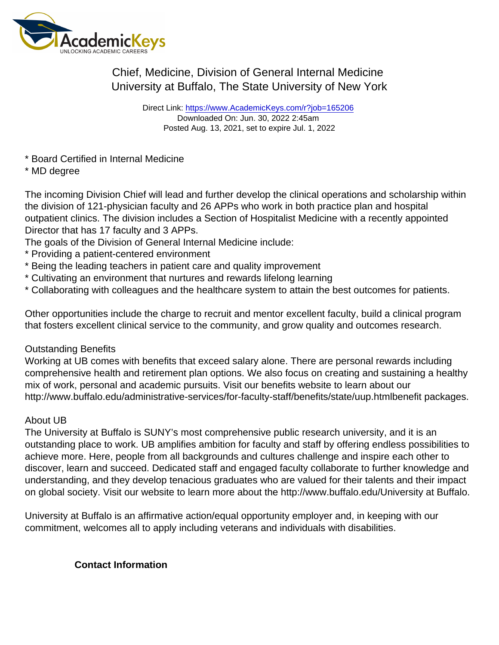## Chief, Medicine, Division of General Internal Medicine University at Buffalo, The State University of New York

Direct Link: <https://www.AcademicKeys.com/r?job=165206> Downloaded On: Jun. 30, 2022 2:45am Posted Aug. 13, 2021, set to expire Jul. 1, 2022

- \* Board Certified in Internal Medicine
- \* MD degree

The incoming Division Chief will lead and further develop the clinical operations and scholarship within the division of 121-physician faculty and 26 APPs who work in both practice plan and hospital outpatient clinics. The division includes a Section of Hospitalist Medicine with a recently appointed Director that has 17 faculty and 3 APPs.

The goals of the Division of General Internal Medicine include:

- \* Providing a patient-centered environment
- \* Being the leading teachers in patient care and quality improvement
- \* Cultivating an environment that nurtures and rewards lifelong learning
- \* Collaborating with colleagues and the healthcare system to attain the best outcomes for patients.

Other opportunities include the charge to recruit and mentor excellent faculty, build a clinical program that fosters excellent clinical service to the community, and grow quality and outcomes research.

## Outstanding Benefits

Working at UB comes with benefits that exceed salary alone. There are personal rewards including comprehensive health and retirement plan options. We also focus on creating and sustaining a healthy mix of work, personal and academic pursuits. Visit our benefits website to learn about our http://www.buffalo.edu/administrative-services/for-faculty-staff/benefits/state/uup.htmlbenefit packages.

## About UB

The University at Buffalo is SUNY's most comprehensive public research university, and it is an outstanding place to work. UB amplifies ambition for faculty and staff by offering endless possibilities to achieve more. Here, people from all backgrounds and cultures challenge and inspire each other to discover, learn and succeed. Dedicated staff and engaged faculty collaborate to further knowledge and understanding, and they develop tenacious graduates who are valued for their talents and their impact on global society. Visit our website to learn more about the http://www.buffalo.edu/University at Buffalo.

University at Buffalo is an affirmative action/equal opportunity employer and, in keeping with our commitment, welcomes all to apply including veterans and individuals with disabilities.

Contact Information